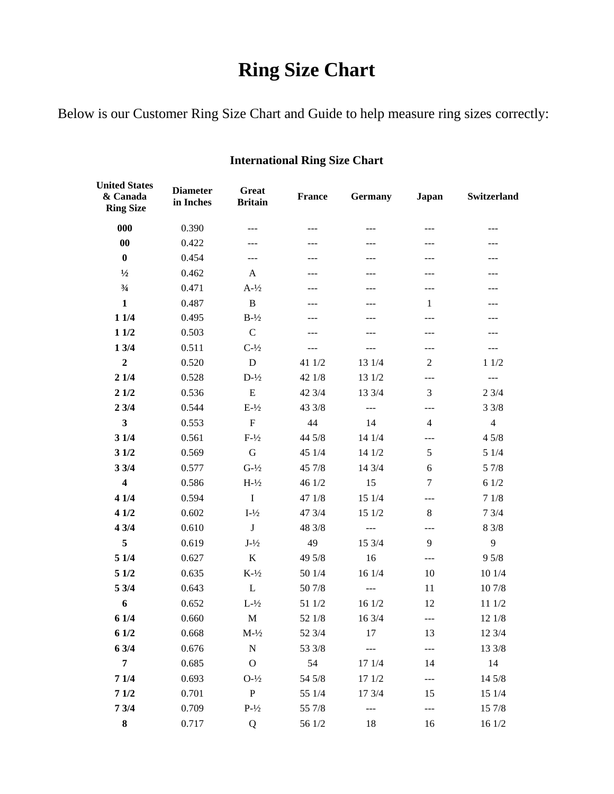## **Ring Size Chart**

Below is our Customer Ring Size Chart and Guide to help measure ring sizes correctly:

| <b>United States</b><br>& Canada<br><b>Ring Size</b> | <b>Diameter</b><br>in Inches | <b>Great</b><br><b>Britain</b> | <b>France</b> | Germany | Japan        | Switzerland                        |
|------------------------------------------------------|------------------------------|--------------------------------|---------------|---------|--------------|------------------------------------|
| 000                                                  | 0.390                        | ---                            | $---$         | $---$   | ---          | ---                                |
| $\bf{00}$                                            | 0.422                        |                                |               |         |              |                                    |
| $\bf{0}$                                             | 0.454                        | ---                            | ---           | ---     |              | ---                                |
| $\frac{1}{2}$                                        | 0.462                        | A                              | ---           | ---     |              | ---                                |
| $\frac{3}{4}$                                        | 0.471                        | $A-1/2$                        | ---           | ---     | ---          | ---                                |
| $\mathbf{1}$                                         | 0.487                        | B                              | ---           |         | $\mathbf{1}$ | ---                                |
| 11/4                                                 | 0.495                        | $B-1/2$                        | $---$         | ---     | ---          | $---$                              |
| 11/2                                                 | 0.503                        | $\mathbf C$                    | ---           |         | ---          |                                    |
| 13/4                                                 | 0.511                        | $C-1/2$                        | ---           | $---$   | ---          | $\qquad \qquad - -$                |
| $\overline{2}$                                       | 0.520                        | D                              | 41 1/2        | 13 1/4  | 2            | 11/2                               |
| 21/4                                                 | 0.528                        | $D-1/2$                        | 42 1/8        | 13 1/2  | ---          | $\mathbb{L} \mathbb{L} \mathbb{L}$ |
| 21/2                                                 | 0.536                        | E                              | 42 3/4        | 13 3/4  | 3            | 23/4                               |
| 23/4                                                 | 0.544                        | $E-1/2$                        | 43 3/8        | ---     | ---          | 33/8                               |
| $\mathbf{3}$                                         | 0.553                        | $\mathbf F$                    | 44            | 14      | 4            | $\overline{4}$                     |
| 31/4                                                 | 0.561                        | $F-1/2$                        | 44 5/8        | 14 1/4  | ---          | 45/8                               |
| 31/2                                                 | 0.569                        | $\mathbf G$                    | 45 1/4        | 14 1/2  | 5            | $51/4$                             |
| 33/4                                                 | 0.577                        | $G-1/2$                        | 45 7/8        | 14 3/4  | 6            | 5 7/8                              |
| $\overline{\mathbf{4}}$                              | 0.586                        | $H-1/2$                        | 46 1/2        | 15      | $\tau$       | 61/2                               |
| 41/4                                                 | 0.594                        | $\bf I$                        | 47 1/8        | 15 1/4  | ---          | $7\;1/8$                           |
| 41/2                                                 | 0.602                        | $I-1/2$                        | 47 3/4        | 15 1/2  | 8            | 73/4                               |
| 43/4                                                 | 0.610                        | $\bf J$                        | 48 3/8        | ---     | ---          | 8 3/8                              |
| 5                                                    | 0.619                        | $J-1/2$                        | 49            | 15 3/4  | 9            | 9                                  |
| 51/4                                                 | 0.627                        | $\bf K$                        | 49 5/8        | 16      | ---          | 95/8                               |
| 51/2                                                 | 0.635                        | $K-1/2$                        | 50 1/4        | 16 1/4  | 10           | 10 1/4                             |
| 5 3/4                                                | 0.643                        | L                              | 50 7/8        | ---     | 11           | 10 7/8                             |
| 6                                                    | 0.652                        | $L-1/2$                        | 51 1/2        | 16 1/2  | 12           | 11 1/2                             |
| 6 1/4                                                | 0.660                        | $\mathbf M$                    | 52 1/8        | 16 3/4  | ---          | 12 1/8                             |
| 6 1/2                                                | 0.668                        | $M-1/2$                        | 52 3/4        | 17      | 13           | 12 3/4                             |
| 6 3/4                                                | 0.676                        | ${\bf N}$                      | 53 3/8        |         | ---          | 13 3/8                             |
| $\overline{7}$                                       | 0.685                        | $\mathbf O$                    | 54            | 17 1/4  | 14           | 14                                 |
| 71/4                                                 | 0.693                        | $O-1/2$                        | 54 5/8        | 17 1/2  | ---          | 14 5/8                             |
| 71/2                                                 | 0.701                        | $\, {\bf P}$                   | 55 1/4        | 17 3/4  | 15           | 15 1/4                             |
| 73/4                                                 | 0.709                        | $P-1/2$                        | 55 7/8        | $ -$    | ---          | 15 7/8                             |
| ${\bf 8}$                                            | 0.717                        | Q                              | 56 1/2        | 18      | 16           | 16 1/2                             |

## **International Ring Size Chart**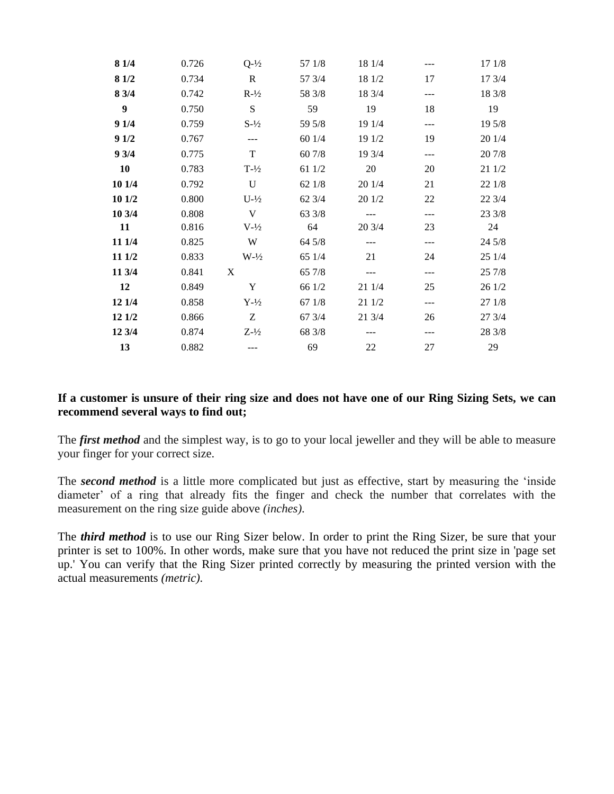| 8 1/4            | 0.726 | $Q-1/2$           | 57 1/8 | 18 1/4 |         | 17 1/8 |
|------------------|-------|-------------------|--------|--------|---------|--------|
| 8 1/2            | 0.734 | $\mathbf R$       | 57 3/4 | 18 1/2 | 17      | 17 3/4 |
| 8 3/4            | 0.742 | $R-1/2$           | 58 3/8 | 18 3/4 | ---     | 18 3/8 |
| $\boldsymbol{9}$ | 0.750 | S                 | 59     | 19     | 18      | 19     |
| 91/4             | 0.759 | $S-1/2$           | 59 5/8 | 19 1/4 | $- - -$ | 19 5/8 |
| 91/2             | 0.767 |                   | 60 1/4 | 19 1/2 | 19      | 20 1/4 |
| 93/4             | 0.775 | T                 | 60 7/8 | 19 3/4 | $---$   | 20 7/8 |
| 10               | 0.783 | $T-1/2$           | 61 1/2 | 20     | 20      | 21 1/2 |
| 10 1/4           | 0.792 | U                 | 62 1/8 | 20 1/4 | 21      | 22 1/8 |
| 10 1/2           | 0.800 | $U-1/2$           | 62 3/4 | 20 1/2 | 22      | 22 3/4 |
| 10 3/4           | 0.808 | V                 | 63 3/8 |        | $---$   | 23 3/8 |
| 11               | 0.816 | $V-1/2$           | 64     | 20 3/4 | 23      | 24     |
| 11 1/4           | 0.825 | W                 | 64 5/8 | $---$  | $---$   | 24 5/8 |
| 11 1/2           | 0.833 | $W-1/2$           | 65 1/4 | 21     | 24      | 25 1/4 |
| 11 3/4           | 0.841 | X                 | 65 7/8 | $---$  | $- - -$ | 25 7/8 |
| 12               | 0.849 | Y                 | 66 1/2 | 21 1/4 | 25      | 26 1/2 |
| 12 1/4           | 0.858 | $Y-1/2$           | 67 1/8 | 21 1/2 | $---$   | 27 1/8 |
| 12 1/2           | 0.866 | Z                 | 67 3/4 | 21 3/4 | 26      | 27 3/4 |
| 12 3/4           | 0.874 | $Z - \frac{1}{2}$ | 68 3/8 |        | ---     | 28 3/8 |
| 13               | 0.882 |                   | 69     | 22     | 27      | 29     |

## **If a customer is unsure of their ring size and does not have one of our Ring Sizing Sets, we can recommend several ways to find out;**

The *first method* and the simplest way, is to go to your local jeweller and they will be able to measure your finger for your correct size.

The *second method* is a little more complicated but just as effective, start by measuring the 'inside diameter' of a ring that already fits the finger and check the number that correlates with the measurement on the ring size guide above *(inches).*

The *third method* is to use our Ring Sizer below. In order to print the Ring Sizer, be sure that your printer is set to 100%. In other words, make sure that you have not reduced the print size in 'page set up.' You can verify that the Ring Sizer printed correctly by measuring the printed version with the actual measurements *(metric).*